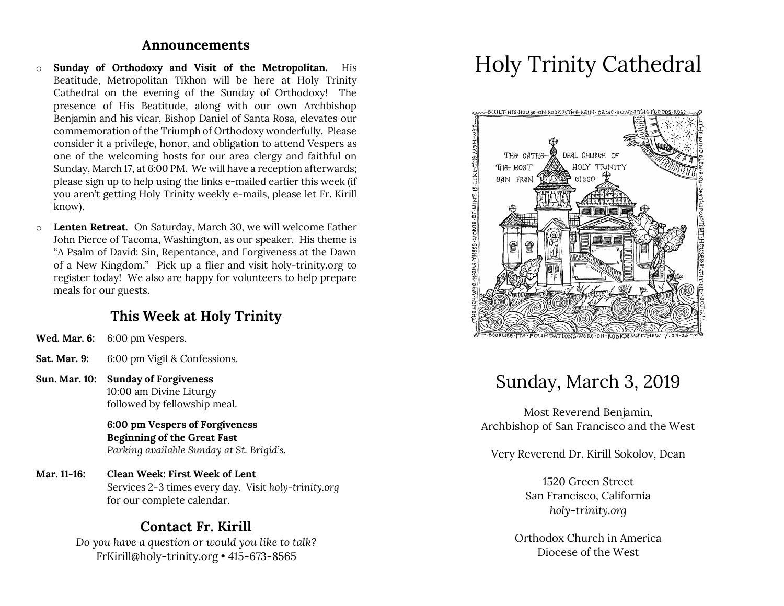#### **Announcements**

- o **Sunday of Orthodoxy and Visit of the Metropolitan.** His Beatitude, Metropolitan Tikhon will be here at Holy Trinity Cathedral on the evening of the Sunday of Orthodoxy! The presence of His Beatitude, along with our own Archbishop Benjamin and his vicar, Bishop Daniel of Santa Rosa, elevates our commemoration of the Triumph of Orthodoxy wonderfully. Please consider it a privilege, honor, and obligation to attend Vespers as one of the welcoming hosts for our area clergy and faithful on Sunday, March 17, at 6:00 PM. We will have a reception afterwards; please sign up to help using the links e-mailed earlier this week (if you aren't getting Holy Trinity weekly e-mails, please let Fr. Kirill know).
- o **Lenten Retreat**. On Saturday, March 30, we will welcome Father John Pierce of Tacoma, Washington, as our speaker. His theme is "A Psalm of David: Sin, Repentance, and Forgiveness at the Dawn of a New Kingdom." Pick up a flier and visit holy-trinity.org to register today! We also are happy for volunteers to help prepare meals for our guests.

#### **This Week at Holy Trinity**

- **Wed. Mar. 6:** 6:00 pm Vespers.
- **Sat. Mar. 9:** 6:00 pm Vigil & Confessions.
- **Sun. Mar. 10: Sunday of Forgiveness** 10:00 am Divine Liturgy followed by fellowship meal.

**6:00 pm Vespers of Forgiveness Beginning of the Great Fast** *Parking available Sunday at St. Brigid's.*

**Mar. 11-16: Clean Week: First Week of Lent** Services 2-3 times every day. Visit *holy-trinity.org* for our complete calendar.

#### **Contact Fr. Kirill**

*Do you have a question or would you like to talk?* FrKirill@holy-trinity.org • 415-673-8565

# Holy Trinity Cathedral



# Sunday, March 3, 2019

Most Reverend Benjamin, Archbishop of San Francisco and the West

Very Reverend Dr. Kirill Sokolov, Dean

1520 Green Street San Francisco, California *holy-trinity.org*

Orthodox Church in America Diocese of the West